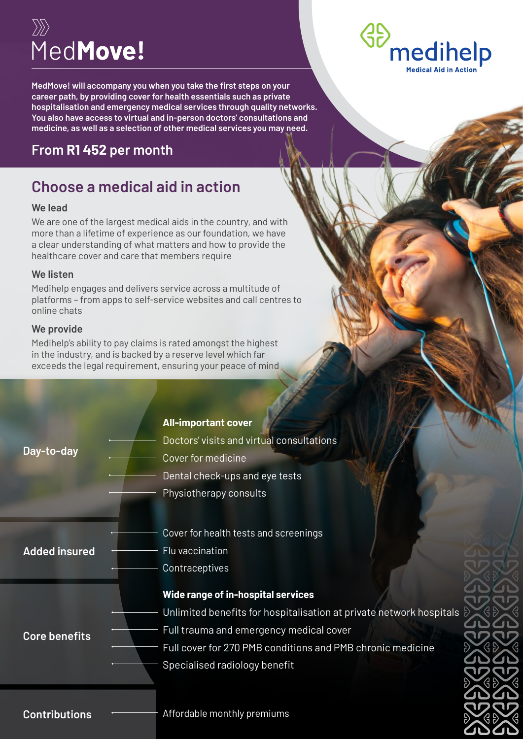# $\left. \right\rangle \!\!\!$ MedMove!



**MedMove! will accompany you when you take the first steps on your career path, by providing cover for health essentials such as private hospitalisation and emergency medical services through quality networks. You also have access to virtual and in-person doctors' consultations and medicine, as well as a selection of other medical services you may need.**

## **From R1 452 per month**

## **Choose a medical aid in action**

### **We lead**

We are one of the largest medical aids in the country, and with more than a lifetime of experience as our foundation, we have a clear understanding of what matters and how to provide the healthcare cover and care that members require

## **We listen**

Medihelp engages and delivers service across a multitude of platforms – from apps to self-service websites and call centres to online chats

## **We provide**

Medihelp's ability to pay claims is rated amongst the highest in the industry, and is backed by a reserve level which far exceeds the legal requirement, ensuring your peace of mind

| Day-to-day           | <b>All-important cover</b>                                          |
|----------------------|---------------------------------------------------------------------|
|                      | Doctors' visits and virtual consultations                           |
|                      | Cover for medicine                                                  |
|                      | Dental check-ups and eye tests                                      |
|                      | Physiotherapy consults                                              |
|                      |                                                                     |
| <b>Added insured</b> | Cover for health tests and screenings                               |
|                      | Flu vaccination                                                     |
|                      | Contraceptives                                                      |
| <b>Core benefits</b> | Wide range of in-hospital services                                  |
|                      | Unlimited benefits for hospitalisation at private network hospitals |
|                      | Full trauma and emergency medical cover                             |
|                      | Full cover for 270 PMB conditions and PMB chronic medicine          |
|                      | Specialised radiology benefit                                       |
|                      |                                                                     |
| <b>Contributions</b> |                                                                     |
|                      | Affordable monthly premiums                                         |
|                      |                                                                     |